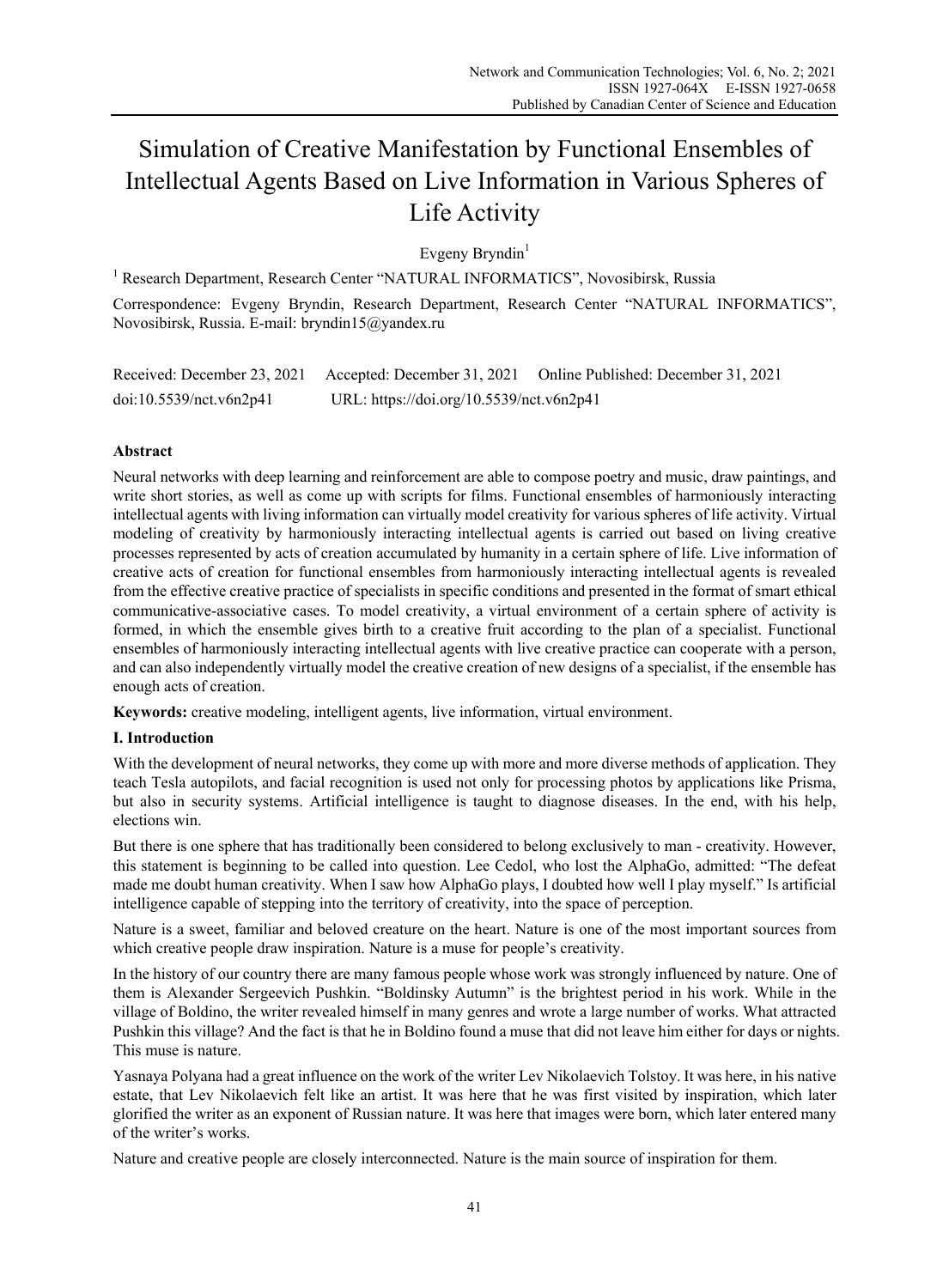# Simulation of Creative Manifestation by Functional Ensembles of Intellectual Agents Based on Live Information in Various Spheres of Life Activity

Evgeny Bryndin $1$ 

<sup>1</sup> Research Department, Research Center "NATURAL INFORMATICS", Novosibirsk, Russia Correspondence: Evgeny Bryndin, Research Department, Research Center "NATURAL INFORMATICS", Novosibirsk, Russia. E-mail: bryndin15@yandex.ru

Received: December 23, 2021 Accepted: December 31, 2021 Online Published: December 31, 2021 doi:10.5539/nct.v6n2p41 URL: https://doi.org/10.5539/nct.v6n2p41

# **Abstract**

Neural networks with deep learning and reinforcement are able to compose poetry and music, draw paintings, and write short stories, as well as come up with scripts for films. Functional ensembles of harmoniously interacting intellectual agents with living information can virtually model creativity for various spheres of life activity. Virtual modeling of creativity by harmoniously interacting intellectual agents is carried out based on living creative processes represented by acts of creation accumulated by humanity in a certain sphere of life. Live information of creative acts of creation for functional ensembles from harmoniously interacting intellectual agents is revealed from the effective creative practice of specialists in specific conditions and presented in the format of smart ethical communicative-associative cases. To model creativity, a virtual environment of a certain sphere of activity is formed, in which the ensemble gives birth to a creative fruit according to the plan of a specialist. Functional ensembles of harmoniously interacting intellectual agents with live creative practice can cooperate with a person, and can also independently virtually model the creative creation of new designs of a specialist, if the ensemble has enough acts of creation.

**Keywords:** creative modeling, intelligent agents, live information, virtual environment.

## **I. Introduction**

With the development of neural networks, they come up with more and more diverse methods of application. They teach Tesla autopilots, and facial recognition is used not only for processing photos by applications like Prisma, but also in security systems. Artificial intelligence is taught to diagnose diseases. In the end, with his help, elections win.

But there is one sphere that has traditionally been considered to belong exclusively to man - creativity. However, this statement is beginning to be called into question. Lee Cedol, who lost the AlphaGo, admitted: "The defeat made me doubt human creativity. When I saw how AlphaGo plays, I doubted how well I play myself." Is artificial intelligence capable of stepping into the territory of creativity, into the space of perception.

Nature is a sweet, familiar and beloved creature on the heart. Nature is one of the most important sources from which creative people draw inspiration. Nature is a muse for people's creativity.

In the history of our country there are many famous people whose work was strongly influenced by nature. One of them is Alexander Sergeevich Pushkin. "Boldinsky Autumn" is the brightest period in his work. While in the village of Boldino, the writer revealed himself in many genres and wrote a large number of works. What attracted Pushkin this village? And the fact is that he in Boldino found a muse that did not leave him either for days or nights. This muse is nature.

Yasnaya Polyana had a great influence on the work of the writer Lev Nikolaevich Tolstoy. It was here, in his native estate, that Lev Nikolaevich felt like an artist. It was here that he was first visited by inspiration, which later glorified the writer as an exponent of Russian nature. It was here that images were born, which later entered many of the writer's works.

Nature and creative people are closely interconnected. Nature is the main source of inspiration for them.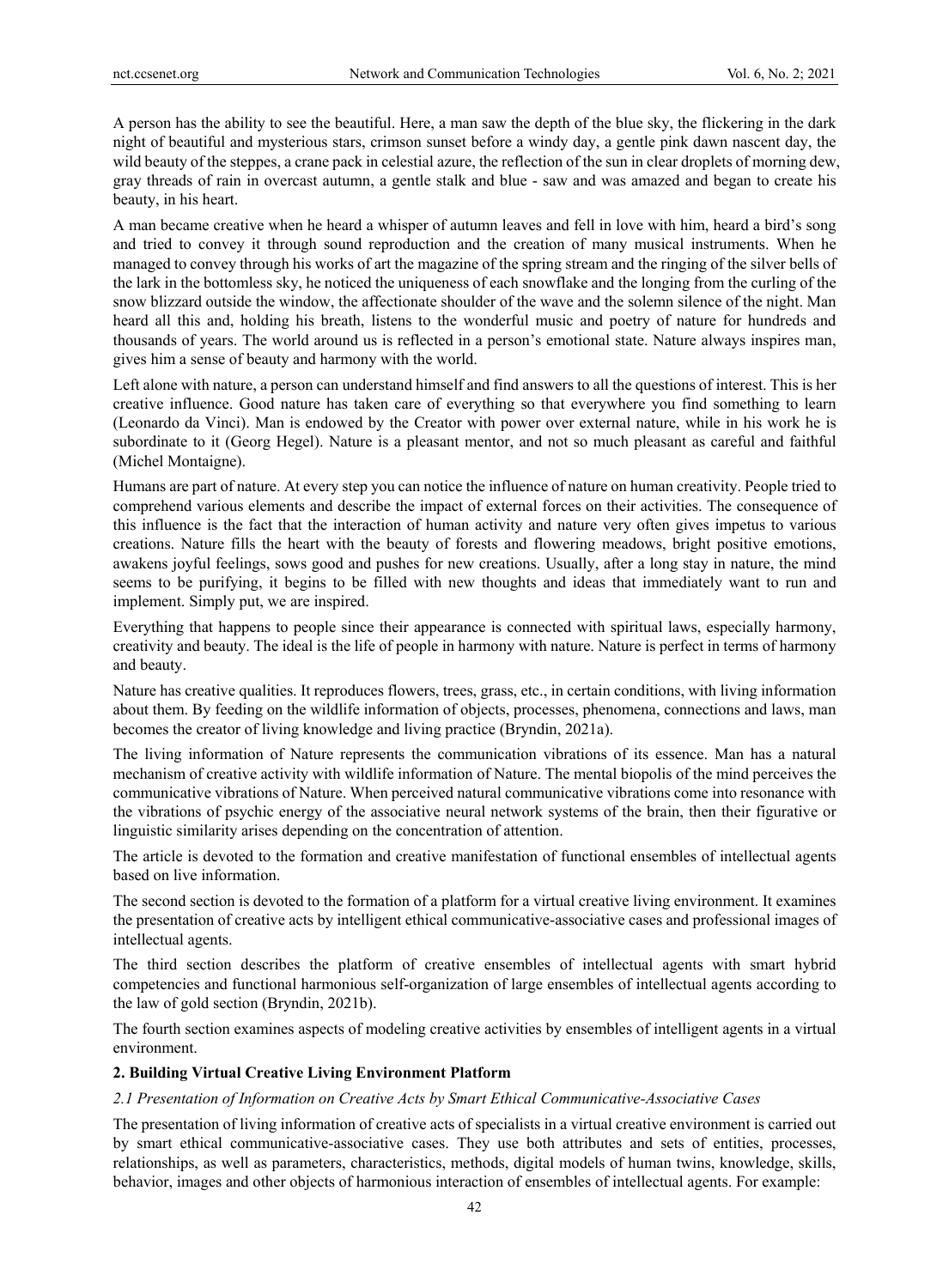A person has the ability to see the beautiful. Here, a man saw the depth of the blue sky, the flickering in the dark night of beautiful and mysterious stars, crimson sunset before a windy day, a gentle pink dawn nascent day, the wild beauty of the steppes, a crane pack in celestial azure, the reflection of the sun in clear droplets of morning dew, gray threads of rain in overcast autumn, a gentle stalk and blue - saw and was amazed and began to create his beauty, in his heart.

A man became creative when he heard a whisper of autumn leaves and fell in love with him, heard a bird's song and tried to convey it through sound reproduction and the creation of many musical instruments. When he managed to convey through his works of art the magazine of the spring stream and the ringing of the silver bells of the lark in the bottomless sky, he noticed the uniqueness of each snowflake and the longing from the curling of the snow blizzard outside the window, the affectionate shoulder of the wave and the solemn silence of the night. Man heard all this and, holding his breath, listens to the wonderful music and poetry of nature for hundreds and thousands of years. The world around us is reflected in a person's emotional state. Nature always inspires man, gives him a sense of beauty and harmony with the world.

Left alone with nature, a person can understand himself and find answers to all the questions of interest. This is her creative influence. Good nature has taken care of everything so that everywhere you find something to learn (Leonardo da Vinci). Man is endowed by the Creator with power over external nature, while in his work he is subordinate to it (Georg Hegel). Nature is a pleasant mentor, and not so much pleasant as careful and faithful (Michel Montaigne).

Humans are part of nature. At every step you can notice the influence of nature on human creativity. People tried to comprehend various elements and describe the impact of external forces on their activities. The consequence of this influence is the fact that the interaction of human activity and nature very often gives impetus to various creations. Nature fills the heart with the beauty of forests and flowering meadows, bright positive emotions, awakens joyful feelings, sows good and pushes for new creations. Usually, after a long stay in nature, the mind seems to be purifying, it begins to be filled with new thoughts and ideas that immediately want to run and implement. Simply put, we are inspired.

Everything that happens to people since their appearance is connected with spiritual laws, especially harmony, creativity and beauty. The ideal is the life of people in harmony with nature. Nature is perfect in terms of harmony and beauty.

Nature has creative qualities. It reproduces flowers, trees, grass, etc., in certain conditions, with living information about them. By feeding on the wildlife information of objects, processes, phenomena, connections and laws, man becomes the creator of living knowledge and living practice (Bryndin, 2021a).

The living information of Nature represents the communication vibrations of its essence. Man has a natural mechanism of creative activity with wildlife information of Nature. The mental biopolis of the mind perceives the communicative vibrations of Nature. When perceived natural communicative vibrations come into resonance with the vibrations of psychic energy of the associative neural network systems of the brain, then their figurative or linguistic similarity arises depending on the concentration of attention.

The article is devoted to the formation and creative manifestation of functional ensembles of intellectual agents based on live information.

The second section is devoted to the formation of a platform for a virtual creative living environment. It examines the presentation of creative acts by intelligent ethical communicative-associative cases and professional images of intellectual agents.

The third section describes the platform of creative ensembles of intellectual agents with smart hybrid competencies and functional harmonious self-organization of large ensembles of intellectual agents according to the law of gold section (Bryndin, 2021b).

The fourth section examines aspects of modeling creative activities by ensembles of intelligent agents in a virtual environment.

#### **2. Building Virtual Creative Living Environment Platform**

#### *2.1 Presentation of Information on Creative Acts by Smart Ethical Communicative-Associative Cases*

The presentation of living information of creative acts of specialists in a virtual creative environment is carried out by smart ethical communicative-associative cases. They use both attributes and sets of entities, processes, relationships, as well as parameters, characteristics, methods, digital models of human twins, knowledge, skills, behavior, images and other objects of harmonious interaction of ensembles of intellectual agents. For example: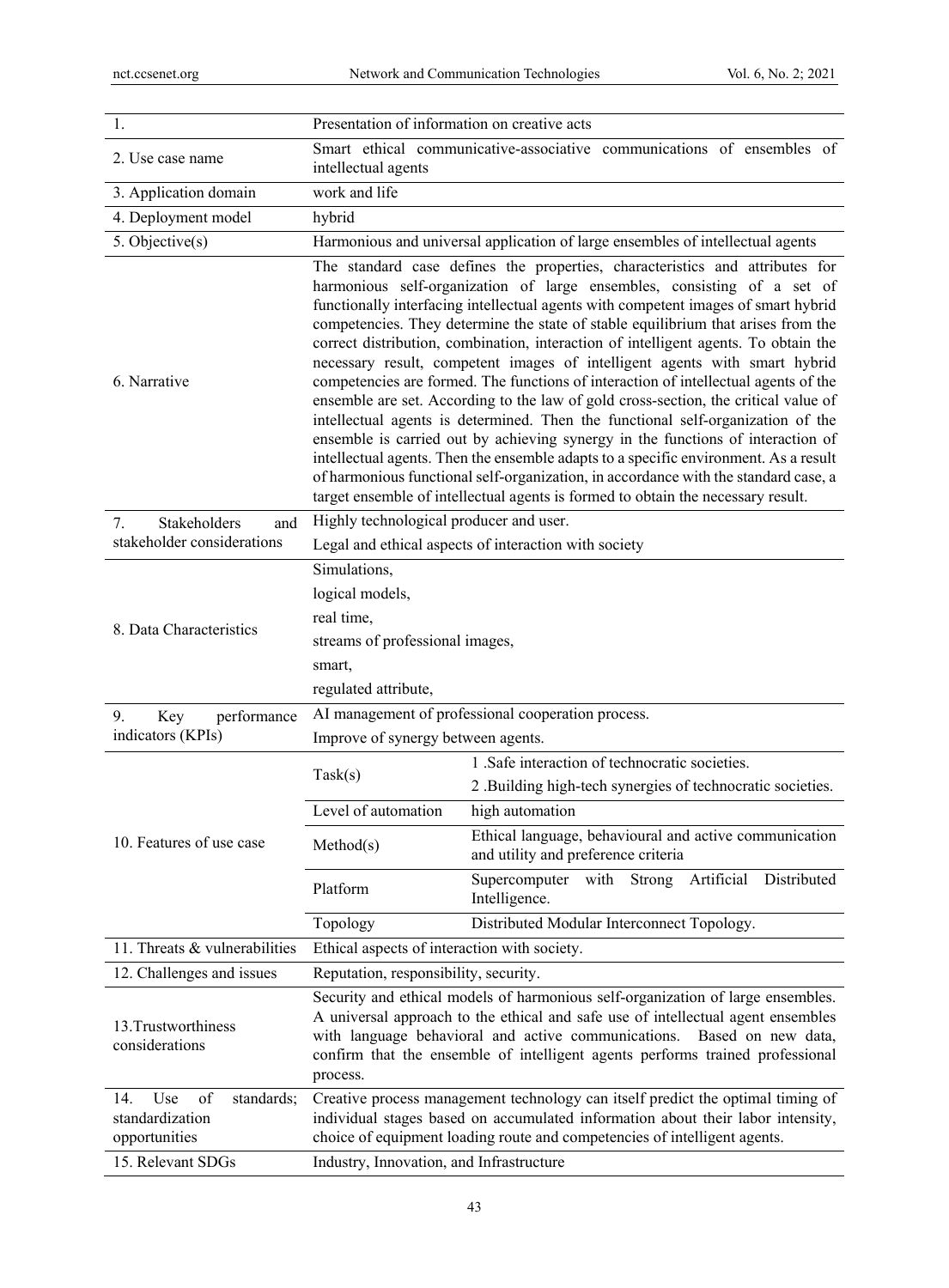| 2. Use case name                                                                        | Smart ethical communicative-associative communications of ensembles of<br>intellectual agents                                                                                                                                                                                                                                                                                                                                                                                                                                                                                                                                                                                                                                                                                                                                                                                                                                                                                                                                                                                                                                  |                                                                                                                                 |
|-----------------------------------------------------------------------------------------|--------------------------------------------------------------------------------------------------------------------------------------------------------------------------------------------------------------------------------------------------------------------------------------------------------------------------------------------------------------------------------------------------------------------------------------------------------------------------------------------------------------------------------------------------------------------------------------------------------------------------------------------------------------------------------------------------------------------------------------------------------------------------------------------------------------------------------------------------------------------------------------------------------------------------------------------------------------------------------------------------------------------------------------------------------------------------------------------------------------------------------|---------------------------------------------------------------------------------------------------------------------------------|
| 3. Application domain                                                                   | work and life                                                                                                                                                                                                                                                                                                                                                                                                                                                                                                                                                                                                                                                                                                                                                                                                                                                                                                                                                                                                                                                                                                                  |                                                                                                                                 |
| 4. Deployment model                                                                     | hybrid                                                                                                                                                                                                                                                                                                                                                                                                                                                                                                                                                                                                                                                                                                                                                                                                                                                                                                                                                                                                                                                                                                                         |                                                                                                                                 |
| 5. Objective(s)                                                                         | Harmonious and universal application of large ensembles of intellectual agents                                                                                                                                                                                                                                                                                                                                                                                                                                                                                                                                                                                                                                                                                                                                                                                                                                                                                                                                                                                                                                                 |                                                                                                                                 |
| 6. Narrative                                                                            | The standard case defines the properties, characteristics and attributes for<br>harmonious self-organization of large ensembles, consisting of a set of<br>functionally interfacing intellectual agents with competent images of smart hybrid<br>competencies. They determine the state of stable equilibrium that arises from the<br>correct distribution, combination, interaction of intelligent agents. To obtain the<br>necessary result, competent images of intelligent agents with smart hybrid<br>competencies are formed. The functions of interaction of intellectual agents of the<br>ensemble are set. According to the law of gold cross-section, the critical value of<br>intellectual agents is determined. Then the functional self-organization of the<br>ensemble is carried out by achieving synergy in the functions of interaction of<br>intellectual agents. Then the ensemble adapts to a specific environment. As a result<br>of harmonious functional self-organization, in accordance with the standard case, a<br>target ensemble of intellectual agents is formed to obtain the necessary result. |                                                                                                                                 |
| Stakeholders<br>7.<br>and                                                               | Highly technological producer and user.                                                                                                                                                                                                                                                                                                                                                                                                                                                                                                                                                                                                                                                                                                                                                                                                                                                                                                                                                                                                                                                                                        |                                                                                                                                 |
| stakeholder considerations                                                              | Legal and ethical aspects of interaction with society                                                                                                                                                                                                                                                                                                                                                                                                                                                                                                                                                                                                                                                                                                                                                                                                                                                                                                                                                                                                                                                                          |                                                                                                                                 |
| 8. Data Characteristics                                                                 | Simulations,<br>logical models,<br>real time,<br>streams of professional images,<br>smart,<br>regulated attribute,                                                                                                                                                                                                                                                                                                                                                                                                                                                                                                                                                                                                                                                                                                                                                                                                                                                                                                                                                                                                             |                                                                                                                                 |
| performance<br>9.<br>Key                                                                | AI management of professional cooperation process.                                                                                                                                                                                                                                                                                                                                                                                                                                                                                                                                                                                                                                                                                                                                                                                                                                                                                                                                                                                                                                                                             |                                                                                                                                 |
| indicators (KPIs)                                                                       | Improve of synergy between agents.                                                                                                                                                                                                                                                                                                                                                                                                                                                                                                                                                                                                                                                                                                                                                                                                                                                                                                                                                                                                                                                                                             |                                                                                                                                 |
| 10. Features of use case                                                                | Task(s)<br>Level of automation                                                                                                                                                                                                                                                                                                                                                                                                                                                                                                                                                                                                                                                                                                                                                                                                                                                                                                                                                                                                                                                                                                 | 1 .Safe interaction of technocratic societies.<br>2 .Building high-tech synergies of technocratic societies.<br>high automation |
|                                                                                         | Method(s)                                                                                                                                                                                                                                                                                                                                                                                                                                                                                                                                                                                                                                                                                                                                                                                                                                                                                                                                                                                                                                                                                                                      | Ethical language, behavioural and active communication<br>and utility and preference criteria                                   |
|                                                                                         | Platform                                                                                                                                                                                                                                                                                                                                                                                                                                                                                                                                                                                                                                                                                                                                                                                                                                                                                                                                                                                                                                                                                                                       | Artificial<br>Distributed<br>Supercomputer<br>with<br>Strong<br>Intelligence.                                                   |
|                                                                                         | Topology                                                                                                                                                                                                                                                                                                                                                                                                                                                                                                                                                                                                                                                                                                                                                                                                                                                                                                                                                                                                                                                                                                                       | Distributed Modular Interconnect Topology.                                                                                      |
| 11. Threats & vulnerabilities                                                           | Ethical aspects of interaction with society.                                                                                                                                                                                                                                                                                                                                                                                                                                                                                                                                                                                                                                                                                                                                                                                                                                                                                                                                                                                                                                                                                   |                                                                                                                                 |
| 12. Challenges and issues                                                               | Reputation, responsibility, security.                                                                                                                                                                                                                                                                                                                                                                                                                                                                                                                                                                                                                                                                                                                                                                                                                                                                                                                                                                                                                                                                                          |                                                                                                                                 |
| 13. Trustworthiness<br>considerations                                                   | Security and ethical models of harmonious self-organization of large ensembles.<br>A universal approach to the ethical and safe use of intellectual agent ensembles<br>with language behavioral and active communications.<br>Based on new data,<br>confirm that the ensemble of intelligent agents performs trained professional<br>process.                                                                                                                                                                                                                                                                                                                                                                                                                                                                                                                                                                                                                                                                                                                                                                                  |                                                                                                                                 |
| Use<br>of<br>14.<br>standards;<br>standardization<br>opportunities<br>15. Relevant SDGs | Creative process management technology can itself predict the optimal timing of<br>individual stages based on accumulated information about their labor intensity,<br>choice of equipment loading route and competencies of intelligent agents.<br>Industry, Innovation, and Infrastructure                                                                                                                                                                                                                                                                                                                                                                                                                                                                                                                                                                                                                                                                                                                                                                                                                                    |                                                                                                                                 |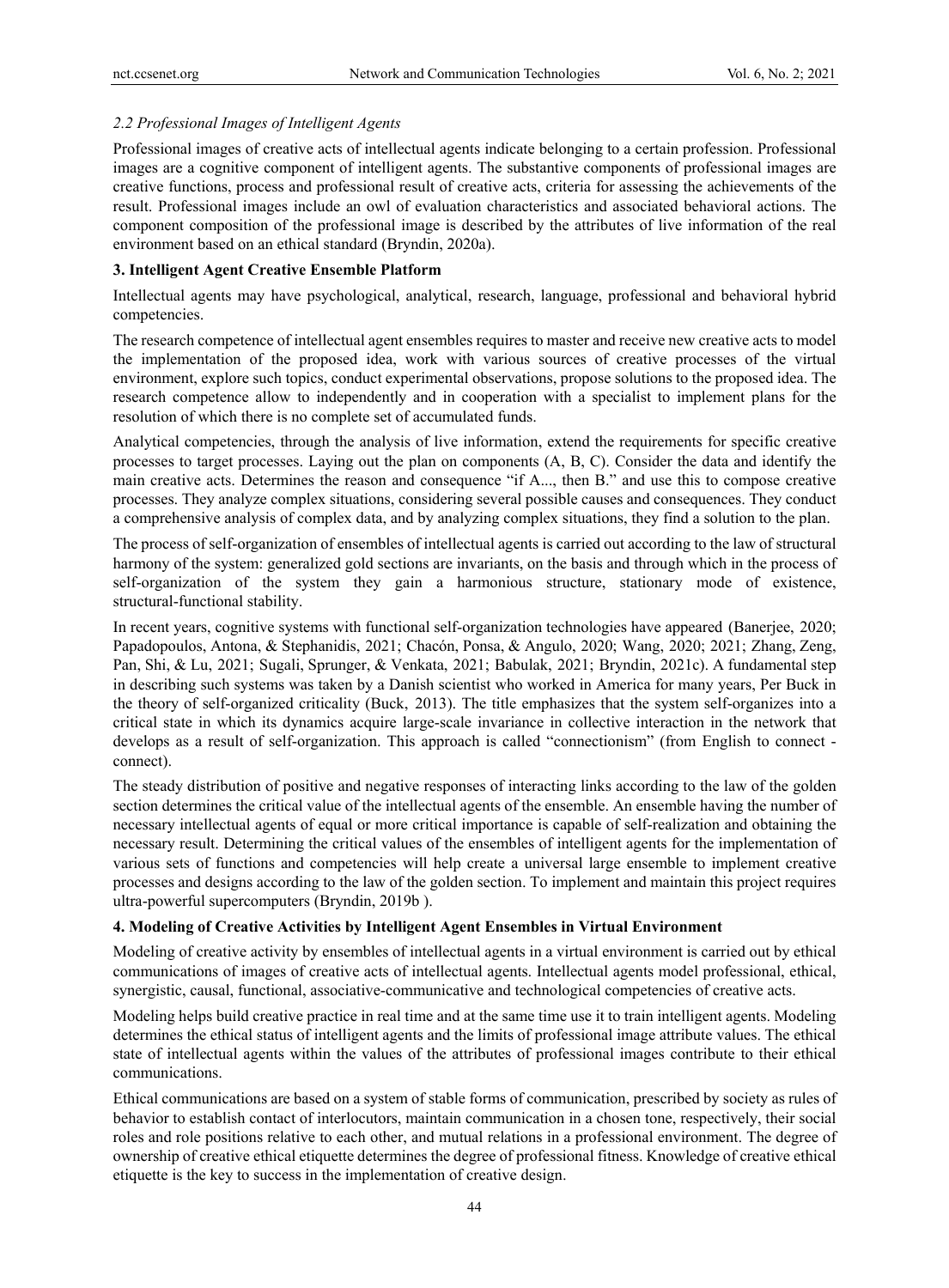# *2.2 Professional Images of Intelligent Agents*

Professional images of creative acts of intellectual agents indicate belonging to a certain profession. Professional images are a cognitive component of intelligent agents. The substantive components of professional images are creative functions, process and professional result of creative acts, criteria for assessing the achievements of the result. Professional images include an owl of evaluation characteristics and associated behavioral actions. The component composition of the professional image is described by the attributes of live information of the real environment based on an ethical standard (Bryndin, 2020a).

## **3. Intelligent Agent Creative Ensemble Platform**

Intellectual agents may have psychological, analytical, research, language, professional and behavioral hybrid competencies.

The research competence of intellectual agent ensembles requires to master and receive new creative acts to model the implementation of the proposed idea, work with various sources of creative processes of the virtual environment, explore such topics, conduct experimental observations, propose solutions to the proposed idea. The research competence allow to independently and in cooperation with a specialist to implement plans for the resolution of which there is no complete set of accumulated funds.

Analytical competencies, through the analysis of live information, extend the requirements for specific creative processes to target processes. Laying out the plan on components (A, B, C). Consider the data and identify the main creative acts. Determines the reason and consequence "if A..., then B." and use this to compose creative processes. They analyze complex situations, considering several possible causes and consequences. They conduct a comprehensive analysis of complex data, and by analyzing complex situations, they find a solution to the plan.

The process of self-organization of ensembles of intellectual agents is carried out according to the law of structural harmony of the system: generalized gold sections are invariants, on the basis and through which in the process of self-organization of the system they gain a harmonious structure, stationary mode of existence, structural-functional stability.

In recent years, cognitive systems with functional self-organization technologies have appeared (Banerjee, 2020; Papadopoulos, Antona, & Stephanidis, 2021; Chacón, Ponsa, & Angulo, 2020; Wang, 2020; 2021; Zhang, Zeng, Pan, Shi, & Lu, 2021; Sugali, Sprunger, & Venkata, 2021; Babulak, 2021; Bryndin, 2021c). A fundamental step in describing such systems was taken by a Danish scientist who worked in America for many years, Per Buck in the theory of self-organized criticality (Buck, 2013). The title emphasizes that the system self-organizes into a critical state in which its dynamics acquire large-scale invariance in collective interaction in the network that develops as a result of self-organization. This approach is called "connectionism" (from English to connect connect).

The steady distribution of positive and negative responses of interacting links according to the law of the golden section determines the critical value of the intellectual agents of the ensemble. An ensemble having the number of necessary intellectual agents of equal or more critical importance is capable of self-realization and obtaining the necessary result. Determining the critical values of the ensembles of intelligent agents for the implementation of various sets of functions and competencies will help create a universal large ensemble to implement creative processes and designs according to the law of the golden section. To implement and maintain this project requires ultra-powerful supercomputers (Bryndin, 2019b ).

# **4. Modeling of Creative Activities by Intelligent Agent Ensembles in Virtual Environment**

Modeling of creative activity by ensembles of intellectual agents in a virtual environment is carried out by ethical communications of images of creative acts of intellectual agents. Intellectual agents model professional, ethical, synergistic, causal, functional, associative-communicative and technological competencies of creative acts.

Modeling helps build creative practice in real time and at the same time use it to train intelligent agents. Modeling determines the ethical status of intelligent agents and the limits of professional image attribute values. The ethical state of intellectual agents within the values of the attributes of professional images contribute to their ethical communications.

Ethical communications are based on a system of stable forms of communication, prescribed by society as rules of behavior to establish contact of interlocutors, maintain communication in a chosen tone, respectively, their social roles and role positions relative to each other, and mutual relations in a professional environment. The degree of ownership of creative ethical etiquette determines the degree of professional fitness. Knowledge of creative ethical etiquette is the key to success in the implementation of creative design.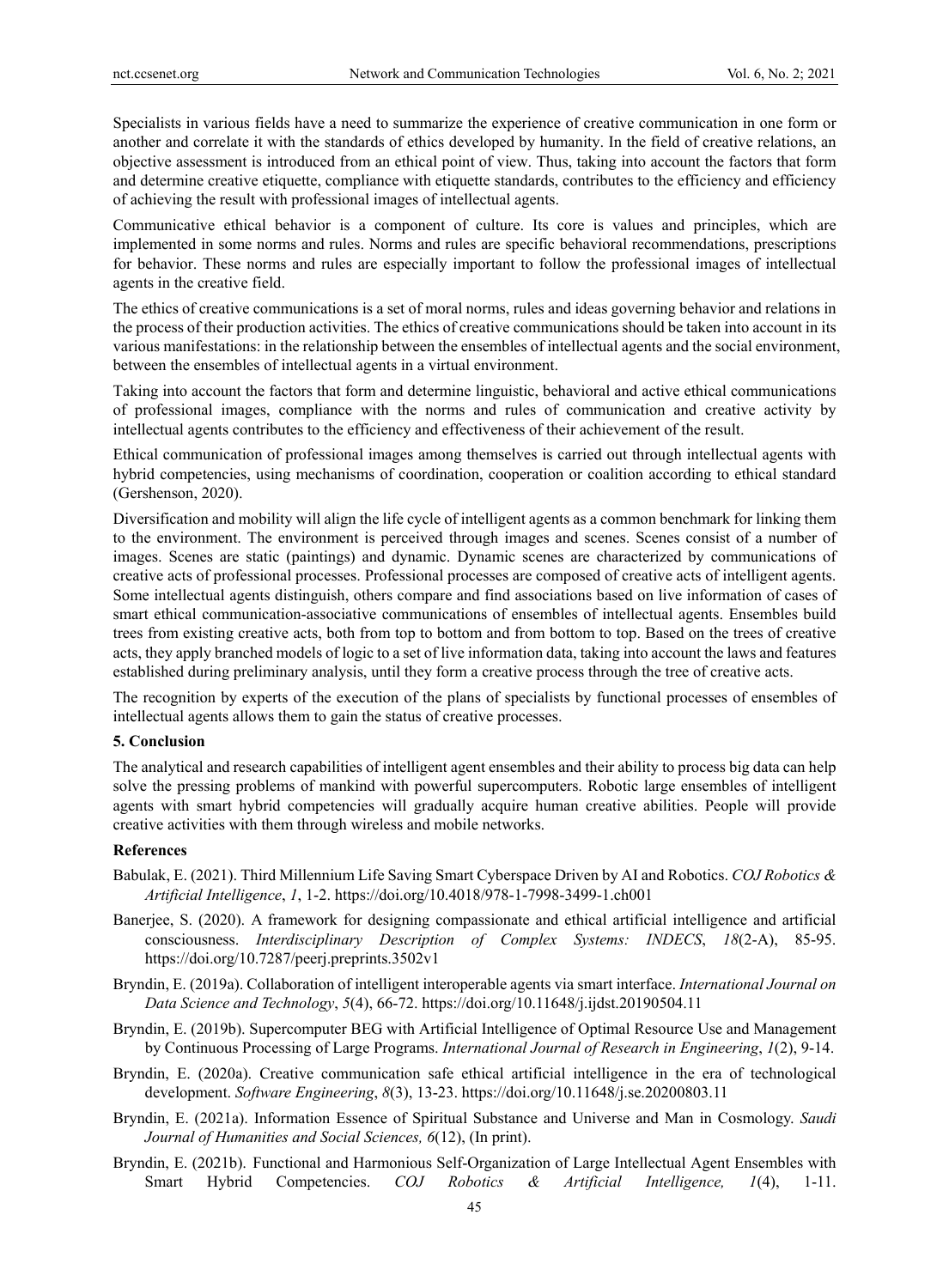Specialists in various fields have a need to summarize the experience of creative communication in one form or another and correlate it with the standards of ethics developed by humanity. In the field of creative relations, an objective assessment is introduced from an ethical point of view. Thus, taking into account the factors that form and determine creative etiquette, compliance with etiquette standards, contributes to the efficiency and efficiency of achieving the result with professional images of intellectual agents.

Communicative ethical behavior is a component of culture. Its core is values and principles, which are implemented in some norms and rules. Norms and rules are specific behavioral recommendations, prescriptions for behavior. These norms and rules are especially important to follow the professional images of intellectual agents in the creative field.

The ethics of creative communications is a set of moral norms, rules and ideas governing behavior and relations in the process of their production activities. The ethics of creative communications should be taken into account in its various manifestations: in the relationship between the ensembles of intellectual agents and the social environment, between the ensembles of intellectual agents in a virtual environment.

Taking into account the factors that form and determine linguistic, behavioral and active ethical communications of professional images, compliance with the norms and rules of communication and creative activity by intellectual agents contributes to the efficiency and effectiveness of their achievement of the result.

Ethical communication of professional images among themselves is carried out through intellectual agents with hybrid competencies, using mechanisms of coordination, cooperation or coalition according to ethical standard (Gershenson, 2020).

Diversification and mobility will align the life cycle of intelligent agents as a common benchmark for linking them to the environment. The environment is perceived through images and scenes. Scenes consist of a number of images. Scenes are static (paintings) and dynamic. Dynamic scenes are characterized by communications of creative acts of professional processes. Professional processes are composed of creative acts of intelligent agents. Some intellectual agents distinguish, others compare and find associations based on live information of cases of smart ethical communication-associative communications of ensembles of intellectual agents. Ensembles build trees from existing creative acts, both from top to bottom and from bottom to top. Based on the trees of creative acts, they apply branched models of logic to a set of live information data, taking into account the laws and features established during preliminary analysis, until they form a creative process through the tree of creative acts.

The recognition by experts of the execution of the plans of specialists by functional processes of ensembles of intellectual agents allows them to gain the status of creative processes.

### **5. Conclusion**

The analytical and research capabilities of intelligent agent ensembles and their ability to process big data can help solve the pressing problems of mankind with powerful supercomputers. Robotic large ensembles of intelligent agents with smart hybrid competencies will gradually acquire human creative abilities. People will provide creative activities with them through wireless and mobile networks.

### **References**

- Babulak, E. (2021). Third Millennium Life Saving Smart Cyberspace Driven by AI and Robotics. *COJ Robotics & Artificial Intelligence*, *1*, 1-2. https://doi.org/10.4018/978-1-7998-3499-1.ch001
- Banerjee, S. (2020). A framework for designing compassionate and ethical artificial intelligence and artificial consciousness. *Interdisciplinary Description of Complex Systems: INDECS*, *18*(2-A), 85-95. https://doi.org/10.7287/peerj.preprints.3502v1
- Bryndin, E. (2019a). Collaboration of intelligent interoperable agents via smart interface. *International Journal on Data Science and Technology*, *5*(4), 66-72. https://doi.org/10.11648/j.ijdst.20190504.11
- Bryndin, E. (2019b). Supercomputer BEG with Artificial Intelligence of Optimal Resource Use and Management by Continuous Processing of Large Programs. *International Journal of Research in Engineering*, *1*(2), 9-14.
- Bryndin, E. (2020a). Creative communication safe ethical artificial intelligence in the era of technological development. *Software Engineering*, *8*(3), 13-23. https://doi.org/10.11648/j.se.20200803.11
- Bryndin, E. (2021a). Information Essence of Spiritual Substance and Universe and Man in Cosmology. *Saudi Journal of Humanities and Social Sciences, 6*(12), (In print).
- Bryndin, E. (2021b). Functional and Harmonious Self-Organization of Large Intellectual Agent Ensembles with Smart Hybrid Competencies. *COJ Robotics & Artificial Intelligence, 1*(4), 1-11.